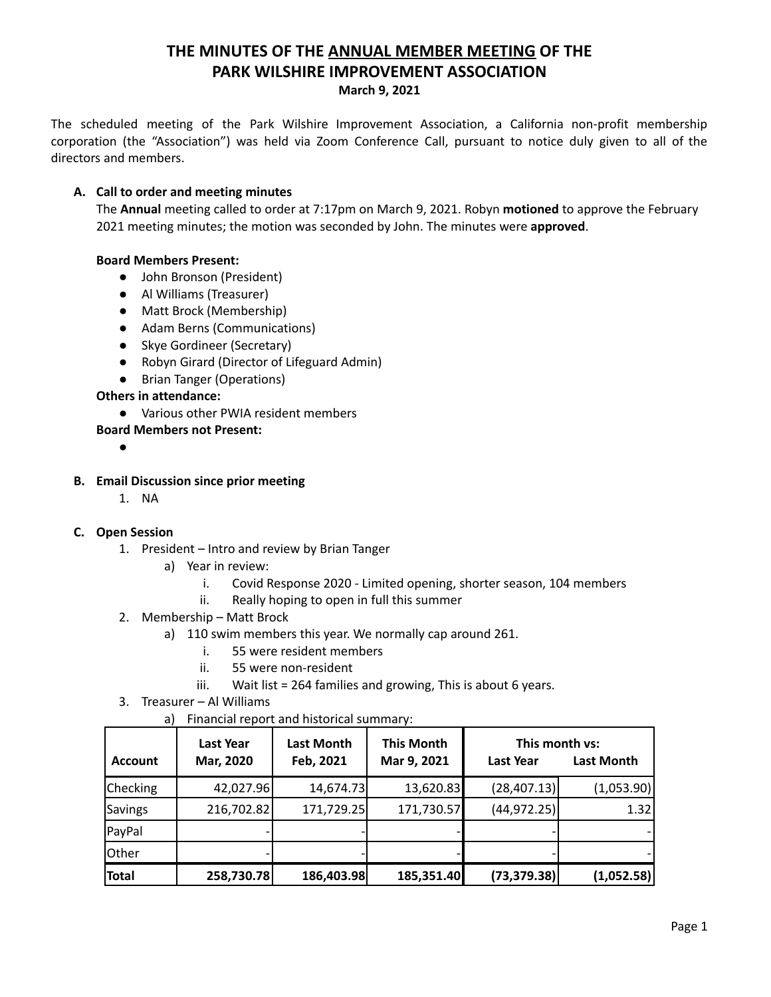# **THE MINUTES OF THE ANNUAL MEMBER MEETING OF THE PARK WILSHIRE IMPROVEMENT ASSOCIATION March 9, 2021**

The scheduled meeting of the Park Wilshire Improvement Association, a California non-profit membership corporation (the "Association") was held via Zoom Conference Call, pursuant to notice duly given to all of the directors and members.

# **A. Call to order and meeting minutes**

The **Annual** meeting called to order at 7:17pm on March 9, 2021. Robyn **motioned** to approve the February 2021 meeting minutes; the motion was seconded by John. The minutes were **approved**.

## **Board Members Present:**

- John Bronson (President)
- **●** Al Williams (Treasurer)
- Matt Brock (Membership)
- Adam Berns (Communications)
- Skye Gordineer (Secretary)
- Robyn Girard (Director of Lifeguard Admin)
- Brian Tanger (Operations)

## **Others in attendance:**

- Various other PWIA resident members
- **Board Members not Present:**
	- ●

## **B. Email Discussion since prior meeting**

1. NA

# **C. Open Session**

- 1. President Intro and review by Brian Tanger
	- a) Year in review:
		- i. Covid Response 2020 Limited opening, shorter season, 104 members
		- ii. Really hoping to open in full this summer
- 2. Membership Matt Brock
	- a) 110 swim members this year. We normally cap around 261.
		- i. 55 were resident members
		- ii. 55 were non-resident
		- iii. Wait list = 264 families and growing, This is about 6 years.
- 3. Treasurer Al Williams
	- a) Financial report and historical summary:

| <b>Account</b> | Last Year<br>Mar, 2020 | <b>Last Month</b><br>Feb, 2021 | <b>This Month</b><br>Mar 9, 2021 | This month vs:<br><b>Last Year</b> | <b>Last Month</b> |
|----------------|------------------------|--------------------------------|----------------------------------|------------------------------------|-------------------|
| Checking       | 42,027.96              | 14,674.73                      | 13,620.83                        | (28, 407.13)                       | (1,053.90)        |
| Savings        | 216,702.82             | 171,729.25                     | 171,730.57                       | (44, 972.25)                       | 1.32              |
| PayPal         |                        |                                |                                  |                                    |                   |
| Other          |                        |                                |                                  |                                    |                   |
| Total          | 258,730.78             | 186,403.98                     | 185,351.40                       | (73, 379.38)                       | (1,052.58)        |